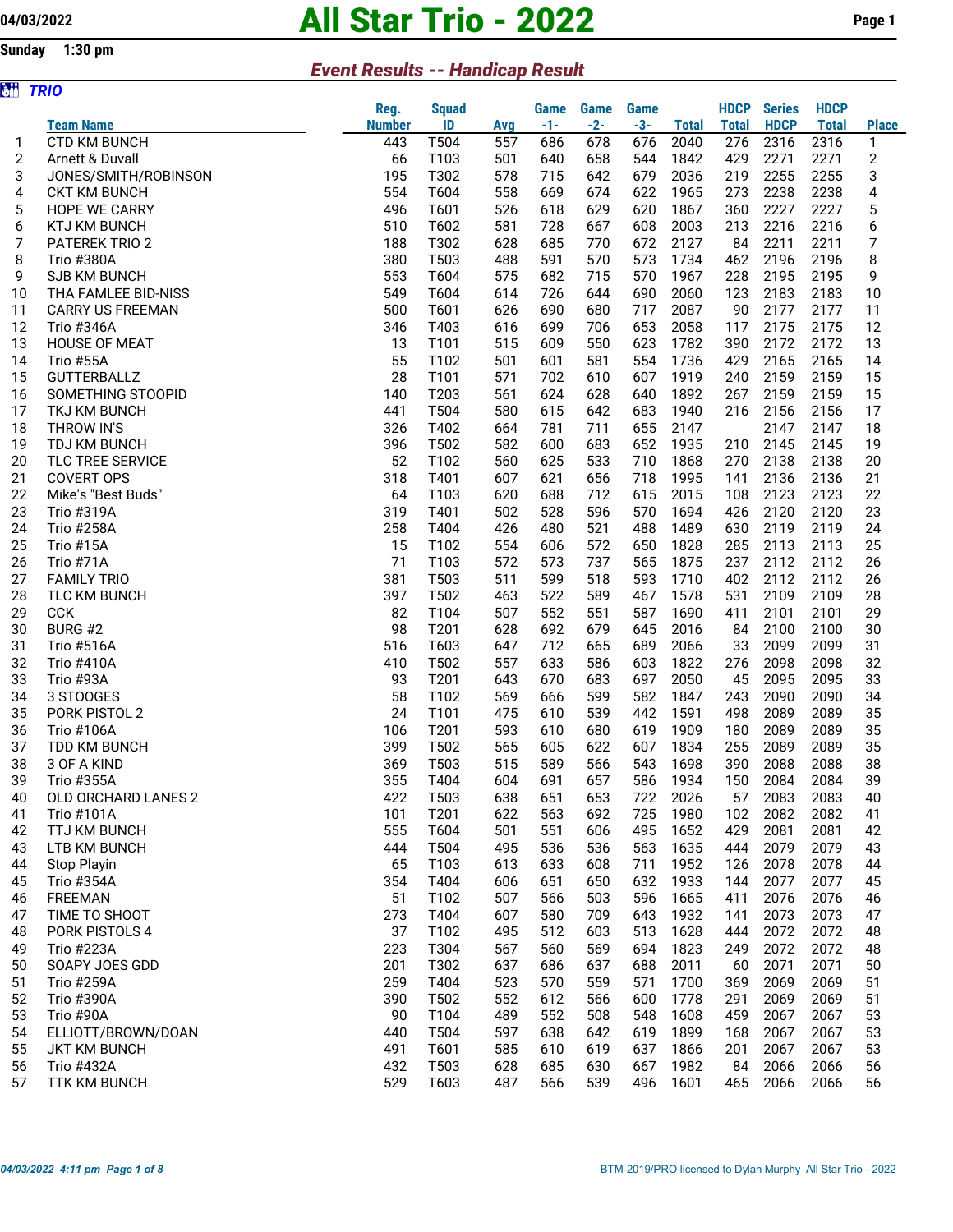## 04/03/2022 **All Star Trio - 2022** Page 1

## Sunday 1:30 pm

## Event Results -- Handicap Result

| òä | <b>TRIO</b>             |               |              |     |       |             |             |              |              |               |              |                         |
|----|-------------------------|---------------|--------------|-----|-------|-------------|-------------|--------------|--------------|---------------|--------------|-------------------------|
|    |                         | Reg.          | <b>Squad</b> |     | Game  | <b>Game</b> | <b>Game</b> |              | <b>HDCP</b>  | <b>Series</b> | <b>HDCP</b>  |                         |
|    | <b>Team Name</b>        | <b>Number</b> | ID           | Avg | $-1-$ | $-2-$       | $-3-$       | <b>Total</b> | <b>Total</b> | <b>HDCP</b>   | <b>Total</b> | <b>Place</b>            |
| 1  | <b>CTD KM BUNCH</b>     | 443           | T504         | 557 | 686   | 678         | 676         | 2040         | 276          | 2316          | 2316         | 1                       |
| 2  | Arnett & Duvall         | 66            | T103         | 501 | 640   | 658         | 544         | 1842         | 429          | 2271          | 2271         | $\overline{\mathbf{c}}$ |
| 3  | JONES/SMITH/ROBINSON    | 195           | T302         | 578 | 715   | 642         | 679         | 2036         | 219          | 2255          | 2255         | 3                       |
| 4  | <b>CKT KM BUNCH</b>     | 554           | T604         | 558 | 669   | 674         | 622         | 1965         | 273          | 2238          | 2238         | 4                       |
| 5  | <b>HOPE WE CARRY</b>    | 496           | T601         | 526 | 618   | 629         | 620         | 1867         | 360          | 2227          | 2227         | 5                       |
| 6  | <b>KTJ KM BUNCH</b>     | 510           | T602         | 581 | 728   | 667         | 608         | 2003         | 213          | 2216          | 2216         | 6                       |
| 7  | <b>PATEREK TRIO 2</b>   | 188           | T302         | 628 | 685   | 770         | 672         | 2127         | 84           | 2211          | 2211         | 7                       |
| 8  | <b>Trio #380A</b>       | 380           | T503         | 488 | 591   | 570         | 573         | 1734         | 462          | 2196          | 2196         | 8                       |
| 9  | <b>SJB KM BUNCH</b>     | 553           | T604         | 575 | 682   | 715         | 570         | 1967         | 228          | 2195          | 2195         | 9                       |
| 10 | THA FAMLEE BID-NISS     | 549           | T604         | 614 | 726   | 644         | 690         | 2060         | 123          | 2183          | 2183         | 10                      |
| 11 | <b>CARRY US FREEMAN</b> | 500           | T601         | 626 | 690   | 680         | 717         | 2087         | 90           | 2177          | 2177         | 11                      |
| 12 | <b>Trio #346A</b>       | 346           | T403         | 616 | 699   | 706         | 653         | 2058         | 117          | 2175          | 2175         | 12                      |
| 13 | <b>HOUSE OF MEAT</b>    | 13            | T101         | 515 | 609   | 550         | 623         | 1782         | 390          | 2172          | 2172         | 13                      |
| 14 | <b>Trio #55A</b>        | 55            | T102         | 501 | 601   | 581         | 554         | 1736         | 429          | 2165          | 2165         | 14                      |
| 15 | <b>GUTTERBALLZ</b>      | 28            | T101         | 571 | 702   | 610         | 607         | 1919         | 240          | 2159          | 2159         | 15                      |
| 16 | SOMETHING STOOPID       | 140           | T203         | 561 | 624   | 628         | 640         | 1892         | 267          | 2159          | 2159         | 15                      |
| 17 | <b>TKJ KM BUNCH</b>     | 441           | T504         | 580 | 615   | 642         | 683         | 1940         | 216          | 2156          | 2156         | 17                      |
| 18 | THROW IN'S              | 326           | T402         | 664 | 781   | 711         | 655         | 2147         |              | 2147          | 2147         | 18                      |
| 19 | TDJ KM BUNCH            | 396           | T502         | 582 | 600   | 683         | 652         | 1935         | 210          | 2145          | 2145         | 19                      |
| 20 | TLC TREE SERVICE        | 52            | T102         | 560 | 625   | 533         | 710         | 1868         | 270          | 2138          | 2138         | 20                      |
| 21 | <b>COVERT OPS</b>       | 318           | T401         | 607 | 621   | 656         | 718         | 1995         | 141          | 2136          | 2136         | 21                      |
| 22 | Mike's "Best Buds"      | 64            | T103         | 620 | 688   | 712         | 615         | 2015         | 108          | 2123          | 2123         | 22                      |
| 23 | Trio #319A              | 319           | T401         | 502 | 528   | 596         | 570         | 1694         | 426          | 2120          | 2120         | 23                      |
| 24 | <b>Trio #258A</b>       | 258           | T404         | 426 | 480   | 521         | 488         | 1489         | 630          | 2119          | 2119         | 24                      |
| 25 | Trio #15A               | 15            | T102         | 554 | 606   | 572         | 650         | 1828         | 285          | 2113          | 2113         | 25                      |
| 26 | Trio #71A               | 71            | T103         | 572 | 573   | 737         | 565         | 1875         | 237          | 2112          | 2112         | 26                      |
| 27 | <b>FAMILY TRIO</b>      | 381           | T503         | 511 | 599   | 518         | 593         | 1710         | 402          | 2112          | 2112         | 26                      |
| 28 | <b>TLC KM BUNCH</b>     | 397           | T502         | 463 | 522   | 589         | 467         | 1578         | 531          | 2109          | 2109         | 28                      |
| 29 | <b>CCK</b>              | 82            | T104         | 507 | 552   | 551         | 587         | 1690         | 411          | 2101          | 2101         | 29                      |
| 30 | BURG #2                 | 98            | T201         | 628 | 692   | 679         | 645         | 2016         | 84           | 2100          | 2100         | 30                      |
| 31 | <b>Trio #516A</b>       | 516           | T603         | 647 | 712   | 665         | 689         | 2066         | 33           | 2099          | 2099         | 31                      |
| 32 | <b>Trio #410A</b>       | 410           | T502         | 557 | 633   | 586         | 603         | 1822         | 276          | 2098          | 2098         | 32                      |
| 33 | Trio #93A               | 93            | T201         | 643 | 670   | 683         | 697         | 2050         | 45           | 2095          | 2095         | 33                      |
| 34 | 3 STOOGES               | 58            | T102         | 569 | 666   | 599         | 582         | 1847         | 243          | 2090          | 2090         | 34                      |
| 35 | PORK PISTOL 2           | 24            | T101         | 475 | 610   | 539         | 442         | 1591         | 498          | 2089          | 2089         | 35                      |
| 36 | <b>Trio #106A</b>       | 106           | T201         | 593 | 610   | 680         | 619         | 1909         | 180          | 2089          | 2089         | 35                      |
| 37 | TDD KM BUNCH            | 399           | T502         | 565 | 605   | 622         | 607         | 1834         | 255          | 2089          | 2089         | 35                      |
| 38 | 3 OF A KIND             | 369           | T503         | 515 | 589   | 566         | 543         | 1698         | 390          | 2088          | 2088         | 38                      |
| 39 | Trio #355A              | 355           | T404         | 604 | 691   | 657         | 586         | 1934         | 150          | 2084          | 2084         | 39                      |
| 40 | OLD ORCHARD LANES 2     | 422           | T503         | 638 | 651   | 653         | 722         | 2026         | 57           | 2083          | 2083         | 40                      |
| 41 | Trio #101A              | 101           | T201         | 622 | 563   | 692         | 725         | 1980         | 102          | 2082          | 2082         | 41                      |
| 42 | <b>TTJ KM BUNCH</b>     | 555           | T604         | 501 | 551   | 606         | 495         | 1652         | 429          | 2081          | 2081         | 42                      |
| 43 | LTB KM BUNCH            | 444           | T504         | 495 | 536   | 536         | 563         | 1635         | 444          | 2079          | 2079         | 43                      |
| 44 | Stop Playin             | 65            | T103         | 613 | 633   | 608         | 711         | 1952         | 126          | 2078          | 2078         | 44                      |
| 45 | Trio #354A              | 354           | T404         | 606 | 651   | 650         | 632         | 1933         | 144          | 2077          | 2077         | 45                      |
| 46 | <b>FREEMAN</b>          | 51            | T102         | 507 | 566   | 503         | 596         | 1665         | 411          | 2076          | 2076         | 46                      |
| 47 | TIME TO SHOOT           | 273           | T404         | 607 | 580   | 709         | 643         | 1932         | 141          | 2073          | 2073         | 47                      |
| 48 | PORK PISTOLS 4          | 37            | T102         | 495 | 512   | 603         | 513         | 1628         | 444          | 2072          | 2072         | 48                      |
| 49 | Trio #223A              | 223           | T304         | 567 | 560   | 569         | 694         | 1823         | 249          | 2072          | 2072         | 48                      |
| 50 | SOAPY JOES GDD          | 201           | T302         | 637 | 686   | 637         | 688         | 2011         | 60           | 2071          | 2071         | 50                      |
| 51 | <b>Trio #259A</b>       | 259           | T404         | 523 | 570   | 559         | 571         | 1700         | 369          | 2069          | 2069         | 51                      |
| 52 | <b>Trio #390A</b>       | 390           | T502         | 552 | 612   | 566         | 600         | 1778         | 291          | 2069          | 2069         | 51                      |
| 53 | Trio #90A               | 90            | T104         | 489 | 552   | 508         | 548         | 1608         | 459          | 2067          | 2067         | 53                      |
| 54 | ELLIOTT/BROWN/DOAN      | 440           | T504         | 597 | 638   | 642         | 619         | 1899         | 168          | 2067          | 2067         | 53                      |
| 55 | <b>JKT KM BUNCH</b>     | 491           | T601         | 585 | 610   | 619         | 637         | 1866         | 201          | 2067          | 2067         | 53                      |
| 56 | <b>Trio #432A</b>       | 432           | T503         | 628 | 685   | 630         | 667         | 1982         | 84           | 2066          | 2066         | 56                      |
| 57 | <b>TTK KM BUNCH</b>     | 529           | T603         | 487 | 566   | 539         | 496         | 1601         | 465          | 2066          | 2066         | 56                      |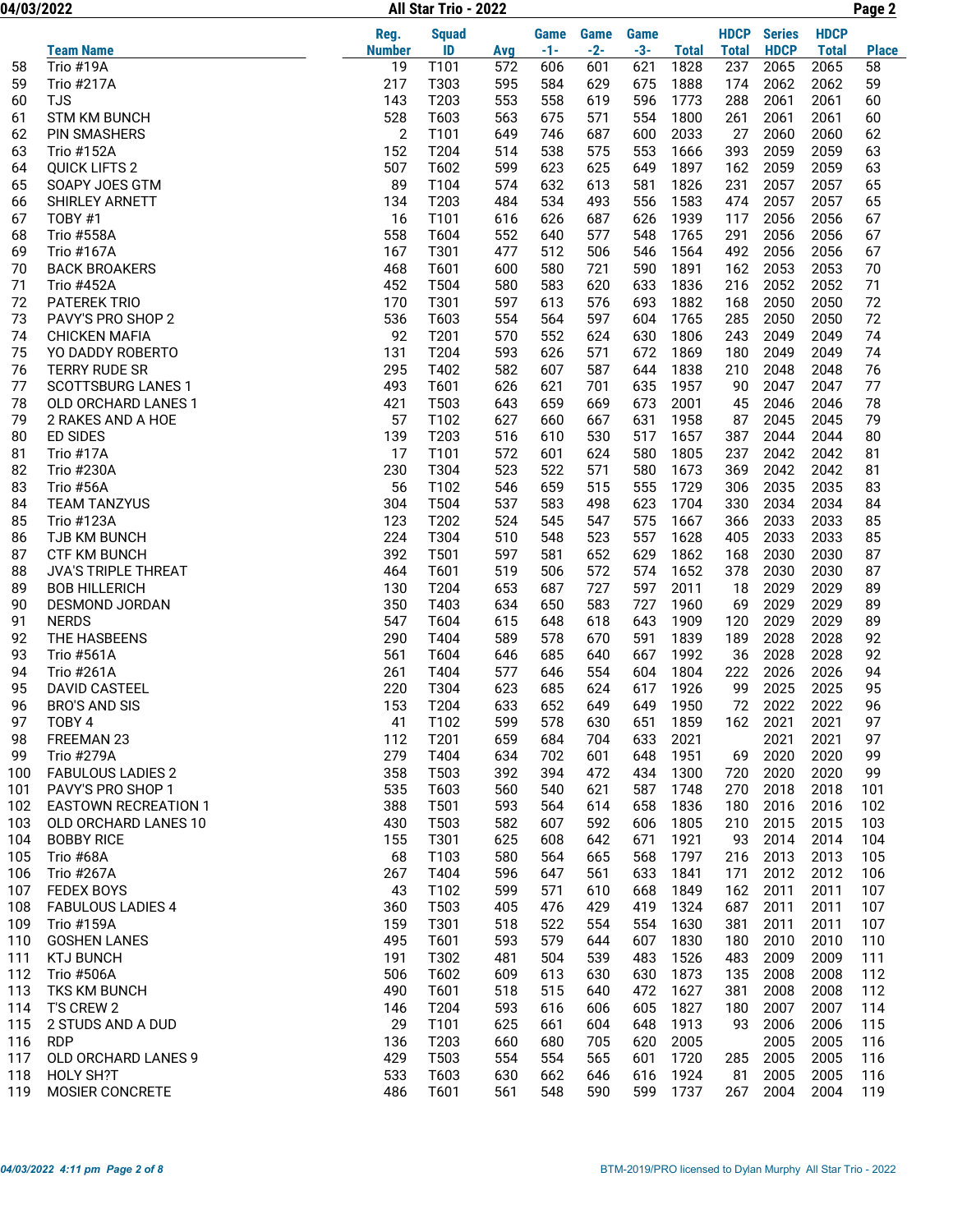04/03/2022 Page 2 All Star Trio - 2022

|     |                             | Reg.          | <b>Squad</b> |     | Game  | Game  | Game  |              | <b>HDCP</b>  | <b>Series</b> | <b>HDCP</b>  |              |
|-----|-----------------------------|---------------|--------------|-----|-------|-------|-------|--------------|--------------|---------------|--------------|--------------|
|     | <b>Team Name</b>            | <b>Number</b> | ID           | Avg | $-1-$ | $-2-$ | $-3-$ | <b>Total</b> | <b>Total</b> | <b>HDCP</b>   | <b>Total</b> | <b>Place</b> |
| 58  | Trio #19A                   | 19            | T101         | 572 | 606   | 601   | 621   | 1828         | 237          | 2065          | 2065         | 58           |
| 59  | Trio #217A                  | 217           | T303         | 595 | 584   | 629   | 675   | 1888         | 174          | 2062          | 2062         | 59           |
| 60  | <b>TJS</b>                  | 143           | T203         | 553 | 558   | 619   | 596   | 1773         | 288          | 2061          | 2061         | 60           |
| 61  | <b>STM KM BUNCH</b>         | 528           | T603         | 563 | 675   | 571   | 554   | 1800         | 261          | 2061          | 2061         | 60           |
| 62  | <b>PIN SMASHERS</b>         | 2             | T101         | 649 | 746   | 687   | 600   | 2033         | 27           | 2060          | 2060         | 62           |
| 63  | <b>Trio #152A</b>           | 152           | T204         | 514 | 538   | 575   | 553   | 1666         | 393          | 2059          | 2059         | 63           |
| 64  | <b>QUICK LIFTS 2</b>        | 507           | T602         | 599 | 623   | 625   | 649   | 1897         | 162          | 2059          | 2059         | 63           |
| 65  | SOAPY JOES GTM              | 89            | T104         | 574 | 632   | 613   | 581   | 1826         | 231          | 2057          | 2057         | 65           |
| 66  | <b>SHIRLEY ARNETT</b>       | 134           | T203         | 484 | 534   | 493   | 556   | 1583         | 474          | 2057          | 2057         | 65           |
| 67  | TOBY #1                     | 16            | T101         | 616 | 626   | 687   | 626   | 1939         | 117          | 2056          | 2056         | 67           |
| 68  | <b>Trio #558A</b>           | 558           | T604         | 552 | 640   | 577   | 548   | 1765         | 291          | 2056          | 2056         | 67           |
| 69  | <b>Trio #167A</b>           | 167           | T301         | 477 | 512   | 506   | 546   | 1564         | 492          | 2056          | 2056         | 67           |
| 70  | <b>BACK BROAKERS</b>        | 468           | T601         | 600 | 580   | 721   | 590   | 1891         | 162          | 2053          | 2053         | 70           |
| 71  | <b>Trio #452A</b>           | 452           | T504         | 580 | 583   | 620   | 633   | 1836         | 216          | 2052          | 2052         | 71           |
| 72  | <b>PATEREK TRIO</b>         | 170           | T301         | 597 | 613   | 576   | 693   | 1882         | 168          | 2050          | 2050         | 72           |
| 73  | PAVY'S PRO SHOP 2           | 536           | T603         | 554 | 564   | 597   | 604   | 1765         | 285          | 2050          | 2050         | 72           |
| 74  | <b>CHICKEN MAFIA</b>        | 92            | T201         | 570 | 552   | 624   | 630   | 1806         | 243          | 2049          | 2049         | 74           |
| 75  | YO DADDY ROBERTO            | 131           | T204         | 593 | 626   | 571   | 672   | 1869         | 180          | 2049          | 2049         | 74           |
| 76  | <b>TERRY RUDE SR</b>        | 295           | T402         | 582 | 607   | 587   | 644   | 1838         | 210          | 2048          | 2048         | 76           |
| 77  | <b>SCOTTSBURG LANES 1</b>   | 493           | T601         | 626 | 621   | 701   | 635   | 1957         | 90           | 2047          | 2047         | 77           |
| 78  | OLD ORCHARD LANES 1         | 421           | T503         | 643 | 659   | 669   | 673   | 2001         | 45           | 2046          | 2046         | 78           |
| 79  | 2 RAKES AND A HOE           | 57            | T102         | 627 | 660   | 667   | 631   | 1958         | 87           | 2045          | 2045         | 79           |
| 80  | <b>ED SIDES</b>             | 139           | T203         | 516 | 610   | 530   | 517   | 1657         | 387          | 2044          | 2044         | 80           |
| 81  | Trio #17A                   | 17            | T101         | 572 | 601   | 624   | 580   | 1805         | 237          | 2042          | 2042         | 81           |
| 82  | Trio #230A                  | 230           | T304         | 523 | 522   | 571   | 580   | 1673         | 369          | 2042          | 2042         | 81           |
| 83  | Trio #56A                   | 56            | T102         | 546 | 659   | 515   | 555   | 1729         | 306          | 2035          | 2035         | 83           |
| 84  | <b>TEAM TANZYUS</b>         | 304           | T504         | 537 | 583   | 498   | 623   | 1704         | 330          | 2034          | 2034         | 84           |
| 85  | Trio #123A                  | 123           | T202         | 524 | 545   | 547   | 575   | 1667         | 366          | 2033          | 2033         | 85           |
| 86  | <b>TJB KM BUNCH</b>         | 224           | T304         | 510 | 548   | 523   | 557   | 1628         | 405          | 2033          | 2033         | 85           |
| 87  | <b>CTF KM BUNCH</b>         | 392           | T501         | 597 | 581   | 652   | 629   | 1862         | 168          | 2030          | 2030         | 87           |
| 88  | <b>JVA'S TRIPLE THREAT</b>  | 464           | T601         | 519 | 506   | 572   | 574   | 1652         | 378          | 2030          | 2030         | 87           |
| 89  | <b>BOB HILLERICH</b>        | 130           | T204         | 653 | 687   | 727   | 597   | 2011         | 18           | 2029          | 2029         | 89           |
| 90  | DESMOND JORDAN              | 350           | T403         | 634 | 650   | 583   | 727   | 1960         | 69           | 2029          | 2029         | 89           |
| 91  | <b>NERDS</b>                | 547           | T604         | 615 | 648   | 618   | 643   | 1909         | 120          | 2029          | 2029         | 89           |
| 92  | THE HASBEENS                | 290           | T404         | 589 | 578   | 670   | 591   | 1839         | 189          | 2028          | 2028         | 92           |
| 93  | <b>Trio #561A</b>           | 561           | T604         | 646 | 685   | 640   | 667   | 1992         | 36           | 2028          | 2028         | 92           |
| 94  | Trio #261A                  | 261           | T404         | 577 | 646   | 554   | 604   | 1804         | 222          | 2026          | 2026         | 94           |
| 95  | <b>DAVID CASTEEL</b>        | 220           | T304         | 623 | 685   | 624   | 617   | 1926         | 99           | 2025          | 2025         | 95           |
| 96  | <b>BRO'S AND SIS</b>        | 153           | T204         | 633 | 652   | 649   | 649   | 1950         | 72           | 2022          | 2022         | 96           |
| 97  | TOBY 4                      | 41            | T102         | 599 | 578   | 630   | 651   | 1859         | 162          | 2021          | 2021         | 97           |
| 98  | FREEMAN 23                  | 112           | T201         | 659 | 684   | 704   | 633   | 2021         |              | 2021          | 2021         | 97           |
| 99  | Trio #279A                  | 279           | T404         | 634 | 702   | 601   | 648   | 1951         | 69           | 2020          | 2020         | 99           |
| 100 | <b>FABULOUS LADIES 2</b>    | 358           | T503         | 392 | 394   | 472   | 434   | 1300         | 720          | 2020          | 2020         | 99           |
| 101 | PAVY'S PRO SHOP 1           | 535           | T603         | 560 | 540   | 621   | 587   | 1748         | 270          | 2018          | 2018         | 101          |
| 102 | <b>EASTOWN RECREATION 1</b> | 388           | T501         | 593 | 564   | 614   | 658   | 1836         | 180          | 2016          | 2016         | 102          |
| 103 | OLD ORCHARD LANES 10        | 430           | T503         | 582 | 607   | 592   | 606   | 1805         | 210          | 2015          | 2015         | 103          |
| 104 | <b>BOBBY RICE</b>           | 155           | T301         | 625 | 608   | 642   | 671   | 1921         | 93           | 2014          | 2014         | 104          |
| 105 | Trio #68A                   | 68            | T103         | 580 | 564   | 665   | 568   | 1797         | 216          | 2013          | 2013         | 105          |
| 106 | Trio #267A                  | 267           | T404         | 596 | 647   | 561   | 633   | 1841         | 171          | 2012          | 2012         | 106          |
| 107 | <b>FEDEX BOYS</b>           | 43            | T102         | 599 | 571   | 610   | 668   | 1849         | 162          | 2011          | 2011         | 107          |
| 108 | <b>FABULOUS LADIES 4</b>    | 360           | T503         | 405 | 476   | 429   | 419   | 1324         | 687          | 2011          | 2011         | 107          |
| 109 | Trio #159A                  | 159           | T301         | 518 | 522   | 554   | 554   | 1630         | 381          | 2011          | 2011         | 107          |
| 110 | <b>GOSHEN LANES</b>         | 495           | T601         | 593 | 579   | 644   | 607   | 1830         | 180          | 2010          | 2010         | 110          |
| 111 | <b>KTJ BUNCH</b>            | 191           | T302         | 481 | 504   | 539   | 483   | 1526         | 483          | 2009          | 2009         | 111          |
| 112 | Trio #506A                  | 506           | T602         | 609 | 613   | 630   | 630   | 1873         | 135          | 2008          | 2008         | 112          |
| 113 | TKS KM BUNCH                | 490           | T601         | 518 | 515   | 640   | 472   | 1627         | 381          | 2008          | 2008         | 112          |
| 114 | T'S CREW 2                  | 146           | T204         | 593 | 616   | 606   | 605   | 1827         | 180          | 2007          | 2007         | 114          |
| 115 | 2 STUDS AND A DUD           | 29            | T101         | 625 | 661   | 604   | 648   | 1913         | 93           | 2006          | 2006         | 115          |
| 116 | <b>RDP</b>                  | 136           | T203         | 660 | 680   | 705   | 620   | 2005         |              | 2005          | 2005         | 116          |
| 117 | <b>OLD ORCHARD LANES 9</b>  | 429           | T503         | 554 | 554   | 565   | 601   | 1720         | 285          | 2005          | 2005         | 116          |
| 118 | HOLY SH?T                   | 533           | T603         | 630 | 662   | 646   | 616   | 1924         | 81           | 2005          | 2005         | 116          |
| 119 | MOSIER CONCRETE             | 486           | T601         | 561 | 548   | 590   | 599   | 1737         | 267          | 2004          | 2004         | 119          |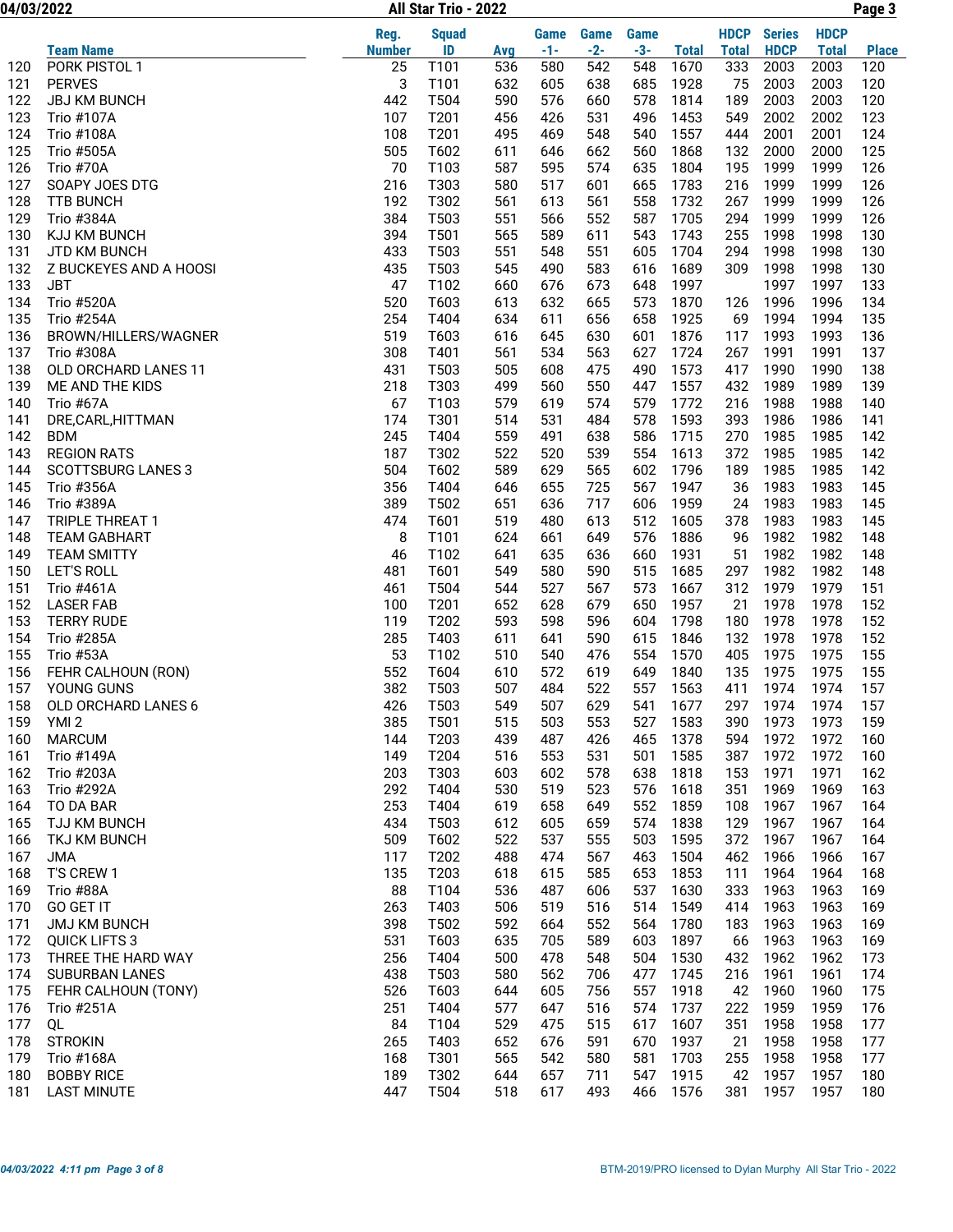04/03/2022 Page 3 All Star Trio - 2022

|     |                           | Reg.          | <b>Squad</b> |     | <b>Game</b> | Game  | <b>Game</b> |              | <b>HDCP</b>  | <b>Series</b> | <b>HDCP</b>  |              |
|-----|---------------------------|---------------|--------------|-----|-------------|-------|-------------|--------------|--------------|---------------|--------------|--------------|
|     | <b>Team Name</b>          | <b>Number</b> | ID           | Avg | $-1-$       | $-2-$ | $-3-$       | <b>Total</b> | <b>Total</b> | <b>HDCP</b>   | <b>Total</b> | <b>Place</b> |
| 120 | PORK PISTOL 1             | 25            | T101         | 536 | 580         | 542   | 548         | 1670         | 333          | 2003          | 2003         | 120          |
| 121 | <b>PERVES</b>             | 3             | T101         | 632 | 605         | 638   | 685         | 1928         | 75           | 2003          | 2003         | 120          |
| 122 | <b>JBJ KM BUNCH</b>       | 442           | T504         | 590 | 576         | 660   | 578         | 1814         | 189          | 2003          | 2003         | 120          |
| 123 | <b>Trio #107A</b>         | 107           | T201         | 456 | 426         | 531   | 496         | 1453         | 549          | 2002          | 2002         | 123          |
| 124 | <b>Trio #108A</b>         | 108           | T201         | 495 | 469         | 548   | 540         | 1557         | 444          | 2001          | 2001         | 124          |
| 125 | <b>Trio #505A</b>         | 505           | T602         | 611 | 646         | 662   | 560         | 1868         | 132          | 2000          | 2000         | 125          |
| 126 | Trio #70A                 | 70            | T103         | 587 | 595         | 574   | 635         | 1804         | 195          | 1999          | 1999         | 126          |
| 127 | SOAPY JOES DTG            | 216           | T303         | 580 | 517         | 601   | 665         | 1783         | 216          | 1999          | 1999         | 126          |
| 128 | <b>TTB BUNCH</b>          | 192           | T302         | 561 | 613         | 561   | 558         | 1732         | 267          | 1999          | 1999         | 126          |
| 129 | Trio #384A                | 384           | T503         | 551 | 566         | 552   | 587         | 1705         | 294          | 1999          | 1999         | 126          |
| 130 | KJJ KM BUNCH              | 394           | T501         | 565 | 589         | 611   | 543         | 1743         | 255          | 1998          | 1998         | 130          |
| 131 | JTD KM BUNCH              | 433           | T503         | 551 | 548         | 551   | 605         | 1704         | 294          | 1998          | 1998         | 130          |
| 132 | Z BUCKEYES AND A HOOSI    | 435           | T503         | 545 | 490         | 583   | 616         | 1689         | 309          | 1998          | 1998         | 130          |
| 133 | <b>JBT</b>                | 47            | T102         | 660 | 676         | 673   | 648         | 1997         |              | 1997          | 1997         | 133          |
| 134 | <b>Trio #520A</b>         | 520           | T603         | 613 | 632         | 665   | 573         | 1870         | 126          | 1996          | 1996         | 134          |
| 135 | <b>Trio #254A</b>         | 254           | T404         | 634 | 611         | 656   | 658         | 1925         | 69           | 1994          | 1994         | 135          |
| 136 | BROWN/HILLERS/WAGNER      | 519           | T603         | 616 | 645         | 630   | 601         | 1876         | 117          | 1993          | 1993         | 136          |
| 137 | Trio #308A                | 308           | T401         | 561 | 534         | 563   | 627         | 1724         | 267          | 1991          | 1991         | 137          |
| 138 | OLD ORCHARD LANES 11      | 431           | T503         | 505 | 608         | 475   | 490         | 1573         | 417          | 1990          | 1990         | 138          |
| 139 | ME AND THE KIDS           | 218           | T303         | 499 | 560         | 550   | 447         | 1557         | 432          | 1989          | 1989         | 139          |
| 140 | Trio #67A                 | 67            | T103         | 579 | 619         | 574   | 579         | 1772         | 216          | 1988          | 1988         | 140          |
| 141 | DRE,CARL,HITTMAN          | 174           | T301         | 514 | 531         | 484   | 578         | 1593         | 393          | 1986          | 1986         | 141          |
| 142 | <b>BDM</b>                | 245           | T404         | 559 | 491         | 638   | 586         | 1715         | 270          | 1985          | 1985         | 142          |
| 143 | <b>REGION RATS</b>        | 187           | T302         | 522 | 520         | 539   | 554         | 1613         | 372          | 1985          | 1985         | 142          |
| 144 | <b>SCOTTSBURG LANES 3</b> | 504           | T602         | 589 | 629         | 565   | 602         | 1796         | 189          | 1985          | 1985         | 142          |
| 145 | Trio #356A                | 356           | T404         | 646 | 655         | 725   | 567         | 1947         | 36           | 1983          | 1983         | 145          |
| 146 | Trio #389A                | 389           | T502         | 651 | 636         | 717   | 606         | 1959         | 24           | 1983          | 1983         | 145          |
| 147 | <b>TRIPLE THREAT 1</b>    | 474           | T601         | 519 | 480         | 613   | 512         | 1605         | 378          | 1983          | 1983         | 145          |
| 148 | <b>TEAM GABHART</b>       | 8             | T101         | 624 | 661         | 649   | 576         | 1886         | 96           | 1982          | 1982         | 148          |
| 149 | <b>TEAM SMITTY</b>        | 46            | T102         | 641 | 635         | 636   | 660         | 1931         | 51           | 1982          | 1982         | 148          |
| 150 | <b>LET'S ROLL</b>         | 481           | T601         | 549 | 580         | 590   | 515         | 1685         | 297          | 1982          | 1982         | 148          |
| 151 | <b>Trio #461A</b>         | 461           | T504         | 544 | 527         | 567   | 573         | 1667         | 312          | 1979          | 1979         | 151          |
| 152 | <b>LASER FAB</b>          | 100           | T201         | 652 | 628         | 679   | 650         | 1957         | 21           | 1978          | 1978         | 152          |
| 153 | <b>TERRY RUDE</b>         | 119           | T202         | 593 | 598         | 596   | 604         | 1798         | 180          | 1978          | 1978         | 152          |
| 154 | Trio #285A                | 285           | T403         | 611 | 641         | 590   | 615         | 1846         | 132          | 1978          | 1978         | 152          |
| 155 | Trio #53A                 | 53            | T102         | 510 | 540         | 476   | 554         | 1570         | 405          | 1975          | 1975         | 155          |
| 156 | FEHR CALHOUN (RON)        | 552           | T604         | 610 | 572         | 619   | 649         | 1840         | 135          | 1975          | 1975         | 155          |
| 157 | YOUNG GUNS                | 382           | T503         | 507 | 484         | 522   | 557         | 1563         | 411          | 1974          | 1974         | 157          |
| 158 | OLD ORCHARD LANES 6       | 426           | T503         | 549 | 507         | 629   | 541         | 1677         | 297          | 1974          | 1974         | 157          |
|     | 159 YMI 2                 | 385           | T501         | 515 | 503         | 553   | 527         | 1583         |              | 390 1973      | 1973         | 159          |
| 160 | <b>MARCUM</b>             | 144           | T203         | 439 | 487         | 426   | 465         | 1378         | 594          | 1972          | 1972         | 160          |
| 161 | Trio #149A                | 149           | T204         | 516 | 553         | 531   | 501         | 1585         | 387          | 1972          | 1972         | 160          |
| 162 | Trio #203A                | 203           | T303         | 603 | 602         | 578   | 638         | 1818         | 153          | 1971          | 1971         | 162          |
| 163 | Trio #292A                | 292           | T404         | 530 | 519         | 523   | 576         | 1618         | 351          | 1969          | 1969         | 163          |
| 164 | TO DA BAR                 | 253           | T404         | 619 | 658         | 649   | 552         | 1859         | 108          | 1967          | 1967         | 164          |
| 165 | TJJ KM BUNCH              | 434           | T503         | 612 | 605         | 659   | 574         | 1838         | 129          | 1967          | 1967         | 164          |
| 166 | TKJ KM BUNCH              | 509           | T602         | 522 | 537         | 555   | 503         | 1595         | 372          | 1967          | 1967         | 164          |
| 167 | <b>JMA</b>                | 117           | T202         | 488 | 474         | 567   | 463         | 1504         | 462          | 1966          | 1966         | 167          |
| 168 | T'S CREW 1                | 135           | T203         | 618 | 615         | 585   | 653         | 1853         | 111          | 1964          | 1964         | 168          |
| 169 | Trio #88A                 | 88            | T104         | 536 | 487         | 606   | 537         | 1630         | 333          | 1963          | 1963         | 169          |
| 170 | <b>GO GET IT</b>          | 263           | T403         | 506 | 519         | 516   | 514         | 1549         | 414          | 1963          | 1963         | 169          |
| 171 | <b>JMJ KM BUNCH</b>       | 398           | T502         | 592 | 664         | 552   | 564         | 1780         | 183          | 1963          | 1963         | 169          |
| 172 | <b>QUICK LIFTS 3</b>      | 531           | T603         | 635 | 705         | 589   | 603         | 1897         | 66           | 1963          | 1963         | 169          |
| 173 | THREE THE HARD WAY        | 256           | T404         | 500 | 478         | 548   | 504         | 1530         | 432          | 1962          | 1962         | 173          |
| 174 | SUBURBAN LANES            | 438           | T503         | 580 | 562         | 706   | 477         | 1745         | 216          | 1961          | 1961         | 174          |
| 175 | FEHR CALHOUN (TONY)       | 526           | T603         | 644 | 605         | 756   | 557         | 1918         | 42           | 1960          | 1960         | 175          |
| 176 | Trio #251A                | 251           | T404         | 577 | 647         | 516   | 574         | 1737         | 222          | 1959          | 1959         | 176          |
| 177 | QL                        | 84            | T104         | 529 | 475         | 515   | 617         | 1607         | 351          | 1958          | 1958         | 177          |
| 178 | <b>STROKIN</b>            | 265           | T403         | 652 | 676         | 591   | 670         | 1937         | 21           | 1958          | 1958         | 177          |
| 179 | <b>Trio #168A</b>         | 168           | T301         | 565 | 542         | 580   | 581         | 1703         | 255          | 1958          | 1958         | 177          |
| 180 | <b>BOBBY RICE</b>         | 189           | T302         | 644 | 657         | 711   | 547         | 1915         | 42           | 1957          | 1957         | 180          |
| 181 | <b>LAST MINUTE</b>        | 447           | T504         | 518 | 617         | 493   | 466         | 1576         | 381          | 1957          | 1957         | 180          |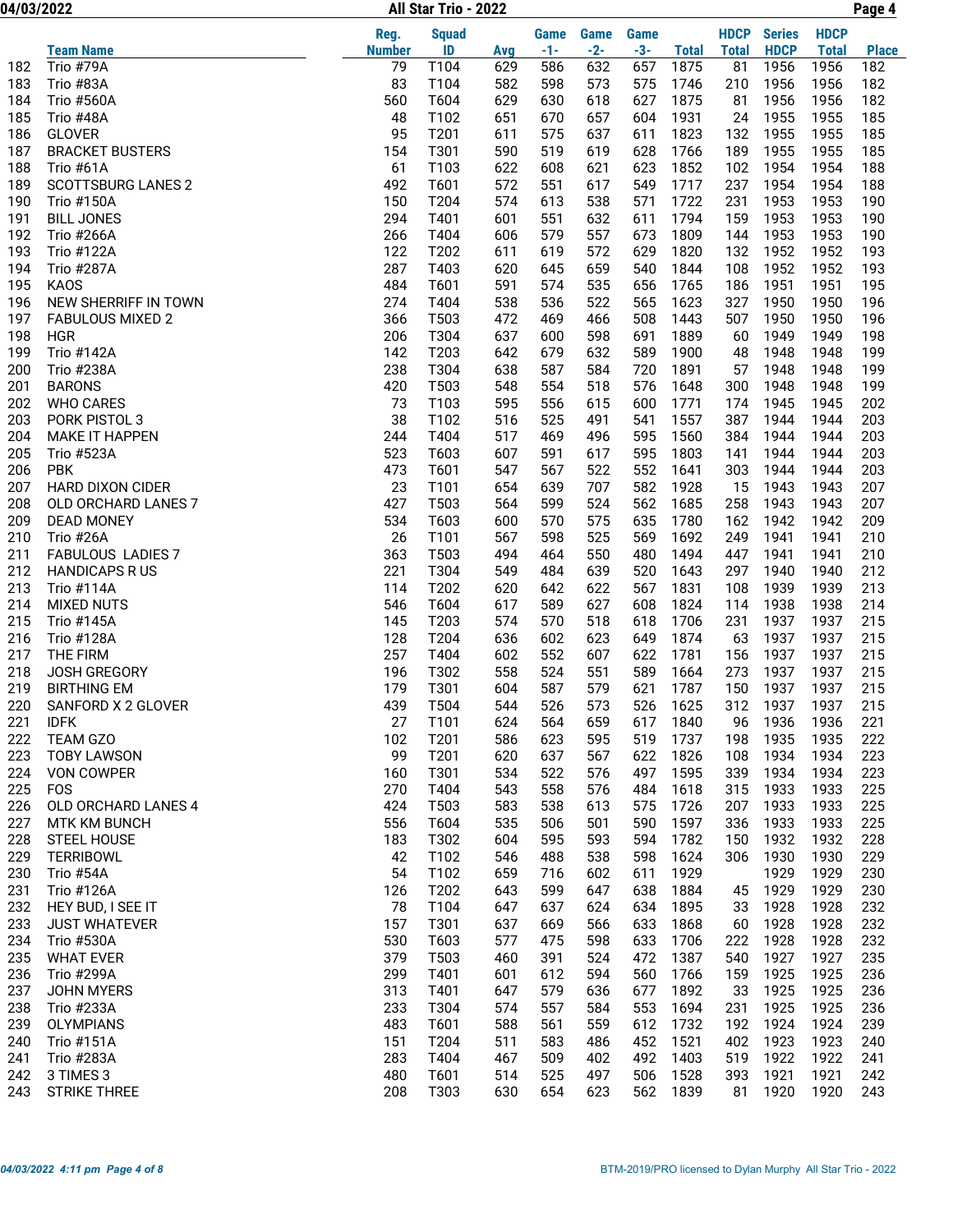04/03/2022 Page 4 All Star Trio - 2022

|     |                           | Reg.          | <b>Squad</b> |     | <b>Game</b> | Game  | Game  |              | <b>HDCP</b>  | <b>Series</b> | <b>HDCP</b>  |              |
|-----|---------------------------|---------------|--------------|-----|-------------|-------|-------|--------------|--------------|---------------|--------------|--------------|
|     | <b>Team Name</b>          | <b>Number</b> | ID           | Avg | $-1-$       | $-2-$ | $-3-$ | <b>Total</b> | <b>Total</b> | <b>HDCP</b>   | <b>Total</b> | <b>Place</b> |
| 182 | Trio #79A                 | 79            | T104         | 629 | 586         | 632   | 657   | 1875         | 81           | 1956          | 1956         | 182          |
| 183 | Trio #83A                 | 83            | T104         | 582 | 598         | 573   | 575   | 1746         | 210          | 1956          | 1956         | 182          |
| 184 | <b>Trio #560A</b>         | 560           | T604         | 629 | 630         | 618   | 627   | 1875         | 81           | 1956          | 1956         | 182          |
| 185 | Trio #48A                 | 48            | T102         | 651 | 670         | 657   | 604   | 1931         | 24           | 1955          | 1955         | 185          |
| 186 | <b>GLOVER</b>             | 95            | T201         | 611 | 575         | 637   | 611   | 1823         | 132          | 1955          | 1955         | 185          |
| 187 | <b>BRACKET BUSTERS</b>    | 154           | T301         | 590 | 519         | 619   | 628   | 1766         | 189          | 1955          | 1955         | 185          |
| 188 | Trio #61A                 | 61            | T103         | 622 | 608         | 621   | 623   | 1852         | 102          | 1954          | 1954         | 188          |
| 189 | <b>SCOTTSBURG LANES 2</b> | 492           | T601         | 572 | 551         | 617   | 549   | 1717         | 237          | 1954          | 1954         | 188          |
| 190 | <b>Trio #150A</b>         | 150           | T204         | 574 | 613         | 538   | 571   | 1722         | 231          | 1953          | 1953         | 190          |
| 191 | <b>BILL JONES</b>         | 294           | T401         | 601 | 551         | 632   | 611   | 1794         | 159          | 1953          | 1953         | 190          |
| 192 | <b>Trio #266A</b>         | 266           | T404         | 606 | 579         | 557   | 673   | 1809         | 144          | 1953          | 1953         | 190          |
| 193 | Trio #122A                | 122           | T202         | 611 | 619         | 572   | 629   | 1820         | 132          | 1952          | 1952         | 193          |
| 194 | Trio #287A                | 287           | T403         | 620 | 645         | 659   | 540   | 1844         | 108          | 1952          | 1952         | 193          |
| 195 | <b>KAOS</b>               | 484           | T601         | 591 | 574         | 535   | 656   | 1765         | 186          | 1951          | 1951         | 195          |
| 196 | NEW SHERRIFF IN TOWN      | 274           | T404         | 538 | 536         | 522   | 565   | 1623         | 327          | 1950          | 1950         | 196          |
| 197 | <b>FABULOUS MIXED 2</b>   | 366           | T503         | 472 | 469         | 466   | 508   | 1443         | 507          | 1950          | 1950         | 196          |
| 198 | <b>HGR</b>                | 206           | T304         | 637 | 600         | 598   | 691   | 1889         | 60           | 1949          | 1949         | 198          |
| 199 | Trio #142A                | 142           | T203         | 642 | 679         | 632   | 589   | 1900         | 48           | 1948          | 1948         | 199          |
| 200 | <b>Trio #238A</b>         | 238           | T304         | 638 | 587         | 584   | 720   | 1891         | 57           | 1948          | 1948         | 199          |
| 201 | <b>BARONS</b>             | 420           | T503         | 548 | 554         | 518   | 576   | 1648         | 300          | 1948          | 1948         | 199          |
| 202 | <b>WHO CARES</b>          | 73            | T103         | 595 | 556         | 615   | 600   | 1771         | 174          | 1945          | 1945         | 202          |
| 203 | PORK PISTOL 3             | 38            | T102         | 516 | 525         | 491   | 541   | 1557         | 387          | 1944          | 1944         | 203          |
| 204 | <b>MAKE IT HAPPEN</b>     | 244           | T404         | 517 | 469         | 496   | 595   | 1560         | 384          | 1944          | 1944         | 203          |
| 205 | <b>Trio #523A</b>         | 523           | T603         | 607 | 591         | 617   | 595   | 1803         | 141          | 1944          | 1944         | 203          |
| 206 | <b>PBK</b>                | 473           | T601         | 547 | 567         | 522   | 552   | 1641         | 303          | 1944          | 1944         | 203          |
| 207 | <b>HARD DIXON CIDER</b>   | 23            | T101         | 654 | 639         | 707   | 582   | 1928         | 15           | 1943          | 1943         | 207          |
| 208 | OLD ORCHARD LANES 7       | 427           | T503         | 564 | 599         | 524   | 562   | 1685         | 258          | 1943          | 1943         | 207          |
| 209 | <b>DEAD MONEY</b>         | 534           | T603         | 600 | 570         | 575   | 635   | 1780         | 162          | 1942          | 1942         | 209          |
| 210 | Trio #26A                 | 26            | T101         | 567 | 598         | 525   | 569   | 1692         | 249          | 1941          | 1941         | 210          |
| 211 | <b>FABULOUS LADIES 7</b>  | 363           | T503         | 494 | 464         | 550   | 480   | 1494         | 447          | 1941          | 1941         | 210          |
| 212 | <b>HANDICAPS RUS</b>      | 221           | T304         | 549 | 484         | 639   | 520   | 1643         | 297          | 1940          | 1940         | 212          |
| 213 | <b>Trio #114A</b>         | 114           | T202         | 620 | 642         | 622   | 567   | 1831         | 108          | 1939          | 1939         | 213          |
| 214 | <b>MIXED NUTS</b>         | 546           | T604         | 617 | 589         | 627   | 608   | 1824         | 114          | 1938          | 1938         | 214          |
| 215 | <b>Trio #145A</b>         | 145           | T203         | 574 | 570         | 518   | 618   | 1706         | 231          | 1937          | 1937         | 215          |
| 216 | Trio #128A                | 128           | T204         | 636 | 602         | 623   | 649   | 1874         | 63           | 1937          | 1937         | 215          |
| 217 | THE FIRM                  | 257           | T404         | 602 | 552         | 607   | 622   | 1781         | 156          | 1937          | 1937         | 215          |
| 218 | <b>JOSH GREGORY</b>       | 196           | T302         | 558 | 524         | 551   | 589   | 1664         | 273          | 1937          | 1937         | 215          |
| 219 | <b>BIRTHING EM</b>        | 179           | T301         | 604 | 587         | 579   | 621   | 1787         | 150          | 1937          | 1937         | 215          |
| 220 | SANFORD X 2 GLOVER        | 439           | T504         | 544 | 526         | 573   | 526   | 1625         | 312          | 1937          | 1937         | 215          |
| 221 | <b>IDFK</b>               | 27            | T101         | 624 | 564         | 659   |       | 617 1840     |              | 96 1936       | 1936         | 221          |
| 222 | TEAM GZO                  | 102           | T201         | 586 | 623         | 595   | 519   | 1737         | 198          | 1935          | 1935         | 222          |
| 223 | <b>TOBY LAWSON</b>        | 99            | T201         | 620 | 637         | 567   | 622   | 1826         | 108          | 1934          | 1934         | 223          |
| 224 | VON COWPER                | 160           | T301         | 534 | 522         | 576   | 497   | 1595         | 339          | 1934          | 1934         | 223          |
| 225 | <b>FOS</b>                | 270           | T404         | 543 | 558         | 576   | 484   | 1618         | 315          | 1933          | 1933         | 225          |
| 226 | OLD ORCHARD LANES 4       | 424           | T503         | 583 | 538         | 613   | 575   | 1726         | 207          | 1933          | 1933         | 225          |
| 227 | <b>MTK KM BUNCH</b>       | 556           | T604         | 535 | 506         | 501   | 590   | 1597         | 336          | 1933          | 1933         | 225          |
| 228 | STEEL HOUSE               | 183           | T302         | 604 | 595         | 593   | 594   | 1782         | 150          | 1932          | 1932         | 228          |
| 229 | <b>TERRIBOWL</b>          | 42            | T102         | 546 | 488         | 538   | 598   | 1624         | 306          | 1930          | 1930         | 229          |
| 230 | Trio #54A                 | 54            | T102         | 659 | 716         | 602   | 611   | 1929         |              | 1929          | 1929         | 230          |
| 231 | Trio #126A                | 126           | T202         | 643 | 599         | 647   | 638   | 1884         | 45           | 1929          | 1929         | 230          |
| 232 | HEY BUD, I SEE IT         | 78            | T104         | 647 | 637         | 624   | 634   | 1895         | 33           | 1928          | 1928         | 232          |
| 233 | <b>JUST WHATEVER</b>      | 157           | T301         | 637 | 669         | 566   | 633   | 1868         | 60           | 1928          | 1928         | 232          |
| 234 | Trio #530A                | 530           | T603         | 577 | 475         | 598   | 633   | 1706         | 222          | 1928          | 1928         | 232          |
| 235 | <b>WHAT EVER</b>          | 379           | T503         | 460 | 391         | 524   | 472   | 1387         | 540          | 1927          | 1927         | 235          |
| 236 | <b>Trio #299A</b>         | 299           | T401         | 601 | 612         | 594   | 560   | 1766         | 159          | 1925          | 1925         | 236          |
| 237 | JOHN MYERS                | 313           | T401         | 647 | 579         | 636   | 677   | 1892         | 33           | 1925          | 1925         | 236          |
| 238 | Trio #233A                | 233           | T304         | 574 | 557         | 584   | 553   | 1694         | 231          | 1925          | 1925         | 236          |
| 239 | <b>OLYMPIANS</b>          | 483           | T601         | 588 | 561         | 559   | 612   | 1732         | 192          | 1924          | 1924         | 239          |
| 240 | Trio #151A                | 151           | T204         | 511 | 583         | 486   | 452   | 1521         | 402          | 1923          | 1923         | 240          |
| 241 | <b>Trio #283A</b>         | 283           | T404         | 467 | 509         | 402   | 492   | 1403         | 519          | 1922          | 1922         | 241          |
| 242 | 3 TIMES 3                 | 480           | T601         | 514 | 525         | 497   | 506   | 1528         | 393          | 1921          | 1921         | 242          |
| 243 | <b>STRIKE THREE</b>       | 208           | T303         | 630 | 654         | 623   | 562   | 1839         | 81           | 1920          | 1920         | 243          |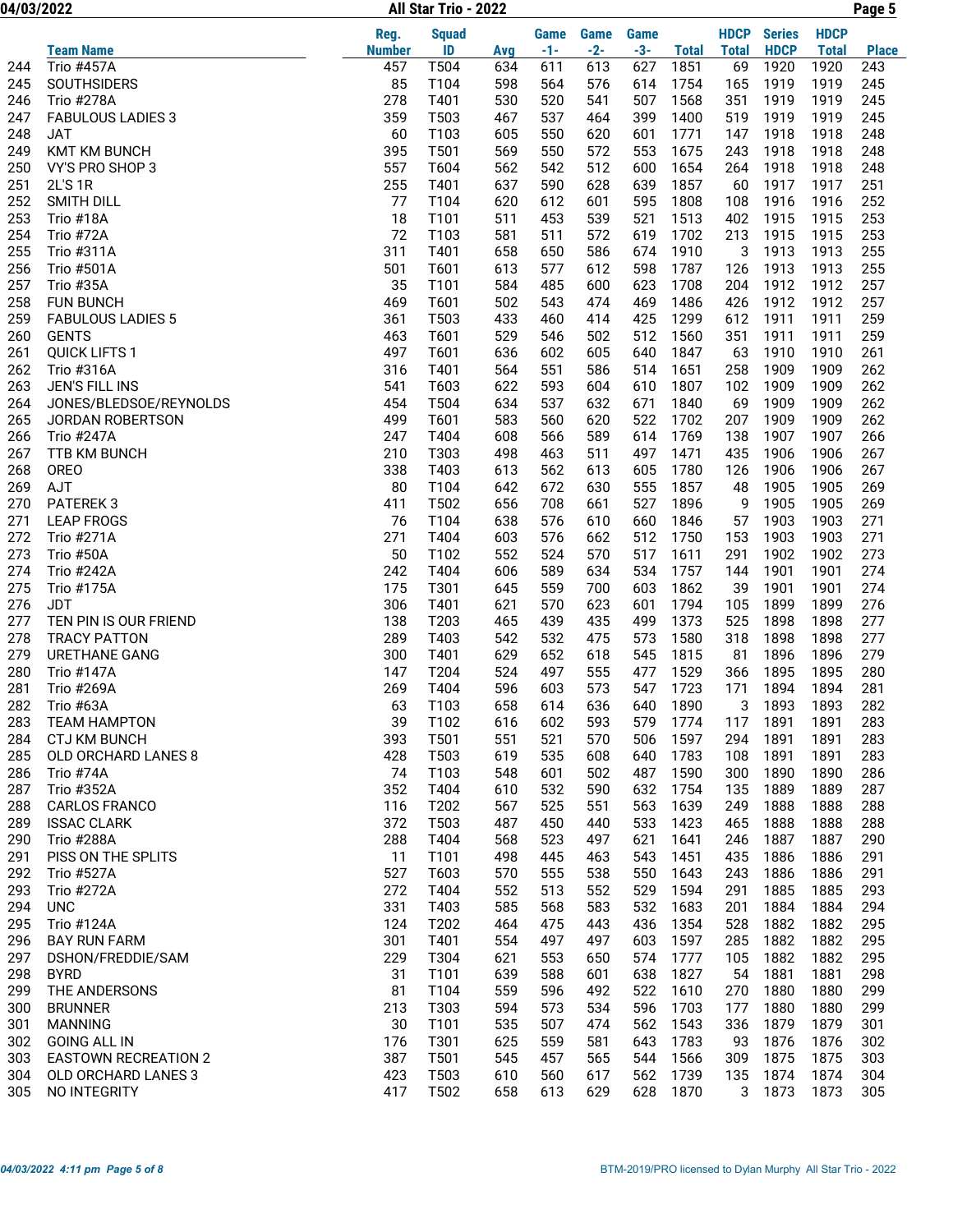04/03/2022 Page 5 All Star Trio - 2022

|     |                             | Reg.          | <b>Squad</b> |     | Game  | Game  | <b>Game</b> |              | <b>HDCP</b>  | <b>Series</b> | <b>HDCP</b>  |              |
|-----|-----------------------------|---------------|--------------|-----|-------|-------|-------------|--------------|--------------|---------------|--------------|--------------|
|     | <b>Team Name</b>            | <b>Number</b> | ID           | Avg | $-1-$ | $-2-$ | $-3-$       | <b>Total</b> | <b>Total</b> | <b>HDCP</b>   | <b>Total</b> | <b>Place</b> |
| 244 | <b>Trio #457A</b>           | 457           | T504         | 634 | 611   | 613   | 627         | 1851         | 69           | 1920          | 1920         | 243          |
| 245 | <b>SOUTHSIDERS</b>          | 85            | T104         | 598 | 564   | 576   | 614         | 1754         | 165          | 1919          | 1919         | 245          |
| 246 | Trio #278A                  | 278           | T401         | 530 | 520   | 541   | 507         | 1568         | 351          | 1919          | 1919         | 245          |
| 247 | <b>FABULOUS LADIES 3</b>    | 359           | T503         | 467 | 537   | 464   | 399         | 1400         | 519          | 1919          | 1919         | 245          |
| 248 | <b>JAT</b>                  | 60            | T103         | 605 | 550   | 620   | 601         | 1771         | 147          | 1918          | 1918         | 248          |
| 249 | <b>KMT KM BUNCH</b>         | 395           | T501         | 569 | 550   | 572   | 553         | 1675         | 243          | 1918          | 1918         | 248          |
| 250 | VY'S PRO SHOP 3             | 557           | T604         | 562 | 542   | 512   | 600         | 1654         | 264          | 1918          | 1918         | 248          |
| 251 | 2L'S 1R                     | 255           | T401         | 637 | 590   | 628   | 639         | 1857         | 60           | 1917          | 1917         | 251          |
| 252 | SMITH DILL                  | 77            | T104         | 620 | 612   | 601   | 595         | 1808         | 108          | 1916          | 1916         | 252          |
| 253 | Trio #18A                   | 18            | T101         | 511 | 453   | 539   | 521         | 1513         | 402          | 1915          | 1915         | 253          |
| 254 | Trio #72A                   | 72            | T103         | 581 | 511   | 572   | 619         | 1702         | 213          | 1915          | 1915         | 253          |
| 255 | Trio #311A                  | 311           | T401         | 658 | 650   | 586   | 674         | 1910         | 3            | 1913          | 1913         | 255          |
| 256 | Trio #501A                  | 501           | T601         | 613 | 577   | 612   | 598         | 1787         | 126          | 1913          | 1913         | 255          |
| 257 | Trio #35A                   | 35            | T101         | 584 | 485   | 600   | 623         | 1708         | 204          | 1912          | 1912         | 257          |
| 258 | <b>FUN BUNCH</b>            | 469           | T601         | 502 | 543   | 474   | 469         | 1486         | 426          | 1912          | 1912         | 257          |
| 259 | <b>FABULOUS LADIES 5</b>    | 361           | T503         | 433 | 460   | 414   | 425         | 1299         | 612          | 1911          | 1911         | 259          |
| 260 | <b>GENTS</b>                | 463           | T601         | 529 | 546   | 502   | 512         | 1560         | 351          | 1911          | 1911         | 259          |
| 261 | <b>QUICK LIFTS 1</b>        | 497           | T601         | 636 | 602   | 605   | 640         | 1847         | 63           | 1910          | 1910         | 261          |
| 262 | Trio #316A                  | 316           | T401         | 564 | 551   | 586   | 514         | 1651         | 258          | 1909          | 1909         | 262          |
| 263 | JEN'S FILL INS              | 541           | T603         | 622 | 593   | 604   | 610         | 1807         | 102          | 1909          | 1909         | 262          |
| 264 | JONES/BLEDSOE/REYNOLDS      | 454           | T504         | 634 | 537   | 632   | 671         | 1840         | 69           | 1909          | 1909         | 262          |
| 265 | <b>JORDAN ROBERTSON</b>     | 499           | T601         | 583 | 560   | 620   | 522         | 1702         | 207          | 1909          | 1909         | 262          |
| 266 | Trio #247A                  | 247           | T404         | 608 | 566   | 589   | 614         | 1769         | 138          | 1907          | 1907         | 266          |
| 267 | TTB KM BUNCH                | 210           | T303         | 498 | 463   | 511   | 497         | 1471         | 435          | 1906          | 1906         | 267          |
| 268 | <b>OREO</b>                 | 338           | T403         | 613 | 562   | 613   | 605         | 1780         | 126          | 1906          | 1906         | 267          |
| 269 | AJT                         | 80            | T104         | 642 | 672   | 630   | 555         | 1857         | 48           | 1905          | 1905         | 269          |
| 270 | PATEREK 3                   | 411           | T502         | 656 | 708   | 661   | 527         | 1896         | 9            | 1905          | 1905         | 269          |
| 271 | <b>LEAP FROGS</b>           | 76            | T104         | 638 | 576   | 610   | 660         | 1846         | 57           | 1903          | 1903         | 271          |
| 272 | Trio #271A                  | 271           | T404         | 603 | 576   | 662   | 512         | 1750         | 153          | 1903          | 1903         | 271          |
| 273 | Trio #50A                   | 50            | T102         | 552 | 524   | 570   | 517         | 1611         | 291          | 1902          | 1902         | 273          |
| 274 | Trio #242A                  | 242           | T404         | 606 | 589   | 634   | 534         | 1757         | 144          | 1901          | 1901         | 274          |
| 275 | Trio #175A                  | 175           | T301         | 645 | 559   | 700   | 603         | 1862         | 39           | 1901          | 1901         | 274          |
| 276 | <b>JDT</b>                  | 306           | T401         | 621 | 570   | 623   | 601         | 1794         | 105          | 1899          | 1899         | 276          |
| 277 | TEN PIN IS OUR FRIEND       | 138           | T203         | 465 | 439   | 435   | 499         | 1373         | 525          | 1898          | 1898         | 277          |
| 278 | <b>TRACY PATTON</b>         | 289           | T403         | 542 | 532   | 475   | 573         | 1580         | 318          | 1898          | 1898         | 277          |
| 279 | <b>URETHANE GANG</b>        | 300           | T401         | 629 | 652   | 618   | 545         | 1815         | 81           | 1896          | 1896         | 279          |
| 280 | <b>Trio #147A</b>           | 147           | T204         | 524 | 497   | 555   | 477         | 1529         | 366          | 1895          | 1895         | 280          |
| 281 | <b>Trio #269A</b>           | 269           | T404         | 596 | 603   | 573   | 547         | 1723         | 171          | 1894          | 1894         | 281          |
| 282 | Trio #63A                   | 63            | T103         | 658 | 614   | 636   | 640         | 1890         | 3            | 1893          | 1893         | 282          |
| 283 | <b>TEAM HAMPTON</b>         | 39            | T102         | 616 | 602   | 593   |             | 579 1774     |              | 117 1891      | 1891         | 283          |
| 284 | CTJ KM BUNCH                | 393           | T501         | 551 | 521   | 570   | 506         | 1597         | 294          | 1891          | 1891         | 283          |
| 285 | OLD ORCHARD LANES 8         | 428           | T503         | 619 | 535   | 608   | 640         | 1783         | 108          | 1891          | 1891         | 283          |
| 286 | Trio #74A                   | 74            | T103         | 548 | 601   | 502   | 487         | 1590         | 300          | 1890          | 1890         | 286          |
| 287 | Trio #352A                  | 352           | T404         | 610 | 532   | 590   | 632         | 1754         | 135          | 1889          | 1889         | 287          |
| 288 | <b>CARLOS FRANCO</b>        | 116           | T202         | 567 | 525   | 551   | 563         | 1639         | 249          | 1888          | 1888         | 288          |
| 289 | <b>ISSAC CLARK</b>          | 372           | T503         | 487 | 450   | 440   | 533         | 1423         | 465          | 1888          | 1888         | 288          |
| 290 | <b>Trio #288A</b>           | 288           | T404         | 568 | 523   | 497   | 621         | 1641         | 246          | 1887          | 1887         | 290          |
| 291 | PISS ON THE SPLITS          | 11            | T101         | 498 | 445   | 463   | 543         | 1451         | 435          | 1886          | 1886         | 291          |
| 292 | Trio #527A                  | 527           | T603         | 570 | 555   | 538   | 550         | 1643         | 243          | 1886          | 1886         | 291          |
| 293 | Trio #272A                  | 272           | T404         | 552 | 513   | 552   | 529         | 1594         | 291          | 1885          | 1885         | 293          |
| 294 | <b>UNC</b>                  | 331           | T403         | 585 | 568   | 583   | 532         | 1683         | 201          | 1884          | 1884         | 294          |
| 295 | Trio #124A                  | 124           | T202         | 464 | 475   | 443   | 436         | 1354         | 528          | 1882          | 1882         | 295          |
| 296 | <b>BAY RUN FARM</b>         | 301           | T401         | 554 | 497   | 497   | 603         | 1597         | 285          | 1882          | 1882         | 295          |
| 297 | DSHON/FREDDIE/SAM           | 229           | T304         | 621 | 553   | 650   | 574         | 1777         | 105          | 1882          | 1882         | 295          |
| 298 | <b>BYRD</b>                 | 31            | T101         | 639 | 588   | 601   | 638         | 1827         | 54           | 1881          | 1881         | 298          |
| 299 | THE ANDERSONS               | 81            | T104         | 559 | 596   | 492   | 522         | 1610         | 270          | 1880          | 1880         | 299          |
| 300 | <b>BRUNNER</b>              | 213           | T303         | 594 | 573   | 534   | 596         | 1703         | 177          | 1880          | 1880         | 299          |
| 301 | <b>MANNING</b>              | 30            | T101         | 535 | 507   | 474   | 562         | 1543         | 336          | 1879          | 1879         | 301          |
| 302 | <b>GOING ALL IN</b>         | 176           | T301         | 625 | 559   | 581   | 643         | 1783         | 93           | 1876          | 1876         | 302          |
| 303 | <b>EASTOWN RECREATION 2</b> | 387           | T501         | 545 | 457   | 565   | 544         | 1566         | 309          | 1875          | 1875         | 303          |
| 304 | OLD ORCHARD LANES 3         | 423           | T503         | 610 | 560   | 617   | 562         | 1739         | 135          | 1874          | 1874         | 304          |
| 305 | NO INTEGRITY                | 417           | T502         | 658 | 613   | 629   |             | 628 1870     | 3            | 1873          | 1873         | 305          |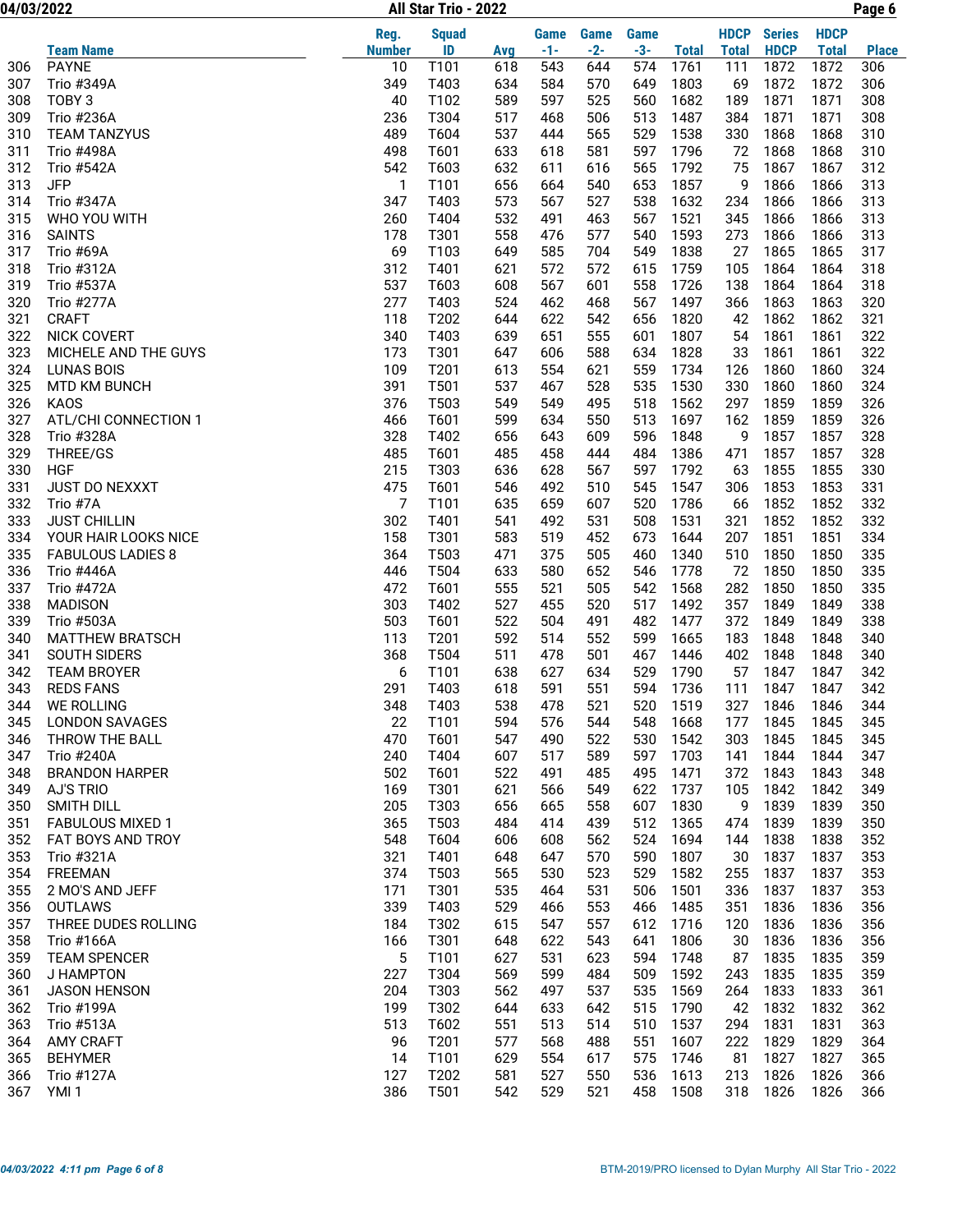| 04/03/2022 |                                    |               | All Star Trio - 2022 |            |            |            |             |              | Page 6       |               |              |              |  |
|------------|------------------------------------|---------------|----------------------|------------|------------|------------|-------------|--------------|--------------|---------------|--------------|--------------|--|
|            |                                    | Reg.          | <b>Squad</b>         |            | Game       | Game       | <b>Game</b> |              | <b>HDCP</b>  | <b>Series</b> | <b>HDCP</b>  |              |  |
|            | Team Name                          | <b>Number</b> | ID                   | Avg        | $-1-$      | $-2-$      | $-3-$       | <b>Total</b> | <b>Total</b> | <b>HDCP</b>   | <b>Total</b> | <b>Place</b> |  |
| 306        | <b>PAYNE</b>                       | 10            | T101                 | 618        | 543        | 644        | 574         | 1761         | 111          | 1872          | 1872         | 306          |  |
| 307        | Trio #349A                         | 349           | T403                 | 634        | 584        | 570        | 649         | 1803         | 69           | 1872          | 1872         | 306          |  |
| 308        | TOBY <sub>3</sub>                  | 40            | T102                 | 589        | 597        | 525        | 560         | 1682         | 189          | 1871          | 1871         | 308          |  |
| 309        | Trio #236A                         | 236           | T304                 | 517        | 468        | 506        | 513         | 1487         | 384          | 1871          | 1871         | 308          |  |
| 310        | <b>TEAM TANZYUS</b>                | 489           | T604                 | 537        | 444        | 565        | 529         | 1538         | 330          | 1868          | 1868         | 310          |  |
| 311        | <b>Trio #498A</b>                  | 498           | T601                 | 633        | 618        | 581        | 597         | 1796         | 72           | 1868          | 1868         | 310          |  |
| 312        | <b>Trio #542A</b>                  | 542           | T603                 | 632        | 611        | 616        | 565         | 1792         | 75           | 1867          | 1867         | 312          |  |
| 313        | <b>JFP</b>                         | 1             | T101                 | 656        | 664        | 540        | 653         | 1857         | 9            | 1866          | 1866         | 313          |  |
| 314        | Trio #347A                         | 347           | T403                 | 573        | 567        | 527        | 538         | 1632         | 234          | 1866          | 1866         | 313          |  |
| 315        | WHO YOU WITH                       | 260           | T404                 | 532        | 491        | 463        | 567         | 1521         | 345          | 1866          | 1866         | 313          |  |
| 316        | <b>SAINTS</b>                      | 178           | T301                 | 558        | 476        | 577        | 540         | 1593         | 273          | 1866          | 1866         | 313          |  |
| 317        | Trio #69A                          | 69            | T103                 | 649        | 585        | 704        | 549         | 1838         | 27           | 1865          | 1865         | 317          |  |
| 318        | Trio #312A                         | 312           | T401                 | 621        | 572        | 572        | 615         | 1759         | 105          | 1864          | 1864         | 318          |  |
| 319        | Trio #537A                         | 537           | T603                 | 608        | 567        | 601        | 558         | 1726         | 138          | 1864          | 1864         | 318          |  |
| 320        | Trio #277A                         | 277           | T403                 | 524        | 462        | 468        | 567         | 1497         | 366          | 1863          | 1863         | 320          |  |
| 321<br>322 | <b>CRAFT</b><br><b>NICK COVERT</b> | 118<br>340    | T202<br>T403         | 644<br>639 | 622<br>651 | 542<br>555 | 656<br>601  | 1820<br>1807 | 42<br>54     | 1862<br>1861  | 1862<br>1861 | 321<br>322   |  |
| 323        | MICHELE AND THE GUYS               | 173           | T301                 | 647        | 606        | 588        | 634         | 1828         | 33           | 1861          | 1861         | 322          |  |
| 324        | <b>LUNAS BOIS</b>                  | 109           | T201                 | 613        | 554        | 621        | 559         | 1734         | 126          | 1860          | 1860         | 324          |  |
| 325        |                                    | 391           | T501                 | 537        | 467        | 528        | 535         | 1530         | 330          | 1860          | 1860         | 324          |  |
| 326        | MTD KM BUNCH<br><b>KAOS</b>        | 376           | T503                 | 549        | 549        | 495        | 518         | 1562         | 297          | 1859          | 1859         | 326          |  |
| 327        | ATL/CHI CONNECTION 1               | 466           | T601                 | 599        | 634        | 550        | 513         | 1697         | 162          | 1859          | 1859         | 326          |  |
| 328        | Trio #328A                         | 328           | T402                 | 656        | 643        | 609        | 596         | 1848         | 9            | 1857          | 1857         | 328          |  |
| 329        | THREE/GS                           | 485           | T601                 | 485        | 458        | 444        | 484         | 1386         | 471          | 1857          | 1857         | 328          |  |
| 330        | <b>HGF</b>                         | 215           | T303                 | 636        | 628        | 567        | 597         | 1792         | 63           | 1855          | 1855         | 330          |  |
| 331        | JUST DO NEXXXT                     | 475           | T601                 | 546        | 492        | 510        | 545         | 1547         | 306          | 1853          | 1853         | 331          |  |
| 332        | Trio #7A                           | 7             | T101                 | 635        | 659        | 607        | 520         | 1786         | 66           | 1852          | 1852         | 332          |  |
| 333        | <b>JUST CHILLIN</b>                | 302           | T401                 | 541        | 492        | 531        | 508         | 1531         | 321          | 1852          | 1852         | 332          |  |
| 334        | YOUR HAIR LOOKS NICE               | 158           | T301                 | 583        | 519        | 452        | 673         | 1644         | 207          | 1851          | 1851         | 334          |  |
| 335        | <b>FABULOUS LADIES 8</b>           | 364           | T503                 | 471        | 375        | 505        | 460         | 1340         | 510          | 1850          | 1850         | 335          |  |
| 336        | <b>Trio #446A</b>                  | 446           | T504                 | 633        | 580        | 652        | 546         | 1778         | 72           | 1850          | 1850         | 335          |  |
| 337        | Trio #472A                         | 472           | T601                 | 555        | 521        | 505        | 542         | 1568         | 282          | 1850          | 1850         | 335          |  |
| 338        | <b>MADISON</b>                     | 303           | T402                 | 527        | 455        | 520        | 517         | 1492         | 357          | 1849          | 1849         | 338          |  |
| 339        | Trio #503A                         | 503           | T601                 | 522        | 504        | 491        | 482         | 1477         | 372          | 1849          | 1849         | 338          |  |
| 340        | <b>MATTHEW BRATSCH</b>             | 113           | T201                 | 592        | 514        | 552        | 599         | 1665         | 183          | 1848          | 1848         | 340          |  |
| 341        | SOUTH SIDERS                       | 368           | T504                 | 511        | 478        | 501        | 467         | 1446         | 402          | 1848          | 1848         | 340          |  |
| 342        | <b>TEAM BROYER</b>                 | 6             | T101                 | 638        | 627        | 634        | 529         | 1790         | 57           | 1847          | 1847         | 342          |  |
| 343        | <b>REDS FANS</b>                   | 291           | T403                 | 618        | 591        | 551        | 594         | 1736         | 111          | 1847          | 1847         | 342          |  |
| 344        | <b>WE ROLLING</b>                  | 348           | T403                 | 538        | 478        | 521        | 520         | 1519         | 327          | 1846          | 1846         | 344          |  |
| 345        | <b>LONDON SAVAGES</b>              | 22            | T101                 | 594        | 576        | 544        | 548         | 1668         | 177          | 1845          | 1845         | 345          |  |
| 346        | THROW THE BALL                     | 470           | T601                 | 547        | 490        | 522        | 530         | 1542         | 303          | 1845          | 1845         | 345          |  |
| 347        | <b>Trio #240A</b>                  | 240           | T404                 | 607        | 517        | 589        | 597         | 1703         | 141          | 1844          | 1844         | 347          |  |
| 348        | <b>BRANDON HARPER</b>              | 502           | T601                 | 522        | 491        | 485        | 495         | 1471         | 372          | 1843          | 1843         | 348          |  |
| 349        | <b>AJ'S TRIO</b>                   | 169           | T301                 | 621        | 566        | 549        | 622         | 1737         | 105          | 1842          | 1842         | 349          |  |
| 350        | SMITH DILL                         | 205           | T303                 | 656        | 665        | 558        | 607         | 1830         | 9            | 1839          | 1839         | 350          |  |
| 351        | <b>FABULOUS MIXED 1</b>            | 365           | T503                 | 484        | 414        | 439        | 512         | 1365         | 474          | 1839          | 1839         | 350          |  |
| 352        | FAT BOYS AND TROY                  | 548           | T604                 | 606        | 608        | 562        | 524         | 1694         | 144          | 1838          | 1838         | 352          |  |
| 353        | Trio #321A                         | 321           | T401                 | 648        | 647        | 570        | 590         | 1807         | 30           | 1837          | 1837         | 353          |  |
| 354        | FREEMAN                            | 374           | T503                 | 565        | 530        | 523        | 529         | 1582         | 255          | 1837          | 1837         | 353          |  |
| 355        | 2 MO'S AND JEFF                    | 171           | T301                 | 535        | 464        | 531        | 506         | 1501         | 336          | 1837          | 1837         | 353          |  |
| 356        | <b>OUTLAWS</b>                     | 339           | T403                 | 529        | 466        | 553        | 466         | 1485         | 351          | 1836          | 1836         | 356          |  |
| 357        | THREE DUDES ROLLING                | 184           | T302                 | 615        | 547        | 557        | 612         | 1716         | 120          | 1836          | 1836         | 356          |  |
| 358        | Trio #166A                         | 166           | T301                 | 648        | 622        | 543        | 641         | 1806         | 30           | 1836          | 1836         | 356          |  |
| 359        | <b>TEAM SPENCER</b>                | 5             | T101                 | 627        | 531        | 623        | 594         | 1748         | 87           | 1835          | 1835         | 359          |  |
| 360        | J HAMPTON                          | 227           | T304                 | 569        | 599        | 484        | 509         | 1592         | 243          | 1835          | 1835         | 359          |  |
| 361        | JASON HENSON                       | 204           | T303                 | 562        | 497        | 537        | 535         | 1569         | 264          | 1833          | 1833         | 361          |  |
| 362        | Trio #199A                         | 199           | T302                 | 644        | 633        | 642        | 515         | 1790         | 42           | 1832          | 1832         | 362          |  |
| 363        | Trio #513A                         | 513           | T602                 | 551        | 513        | 514        | 510         | 1537         | 294          | 1831          | 1831         | 363          |  |
| 364        | <b>AMY CRAFT</b>                   | 96            | T201                 | 577        | 568        | 488        | 551         | 1607         | 222          | 1829          | 1829         | 364          |  |
| 365        | <b>BEHYMER</b>                     | 14            | T101                 | 629        | 554        | 617        | 575         | 1746         | 81           | 1827          | 1827         | 365          |  |
| 366        | Trio #127A                         | 127           | T202                 | 581        | 527        | 550        | 536         | 1613         | 213          | 1826          | 1826         | 366          |  |
| 367        | YMI <sub>1</sub>                   | 386           | T501                 | 542        | 529        | 521        | 458         | 1508         | 318          | 1826          | 1826         | 366          |  |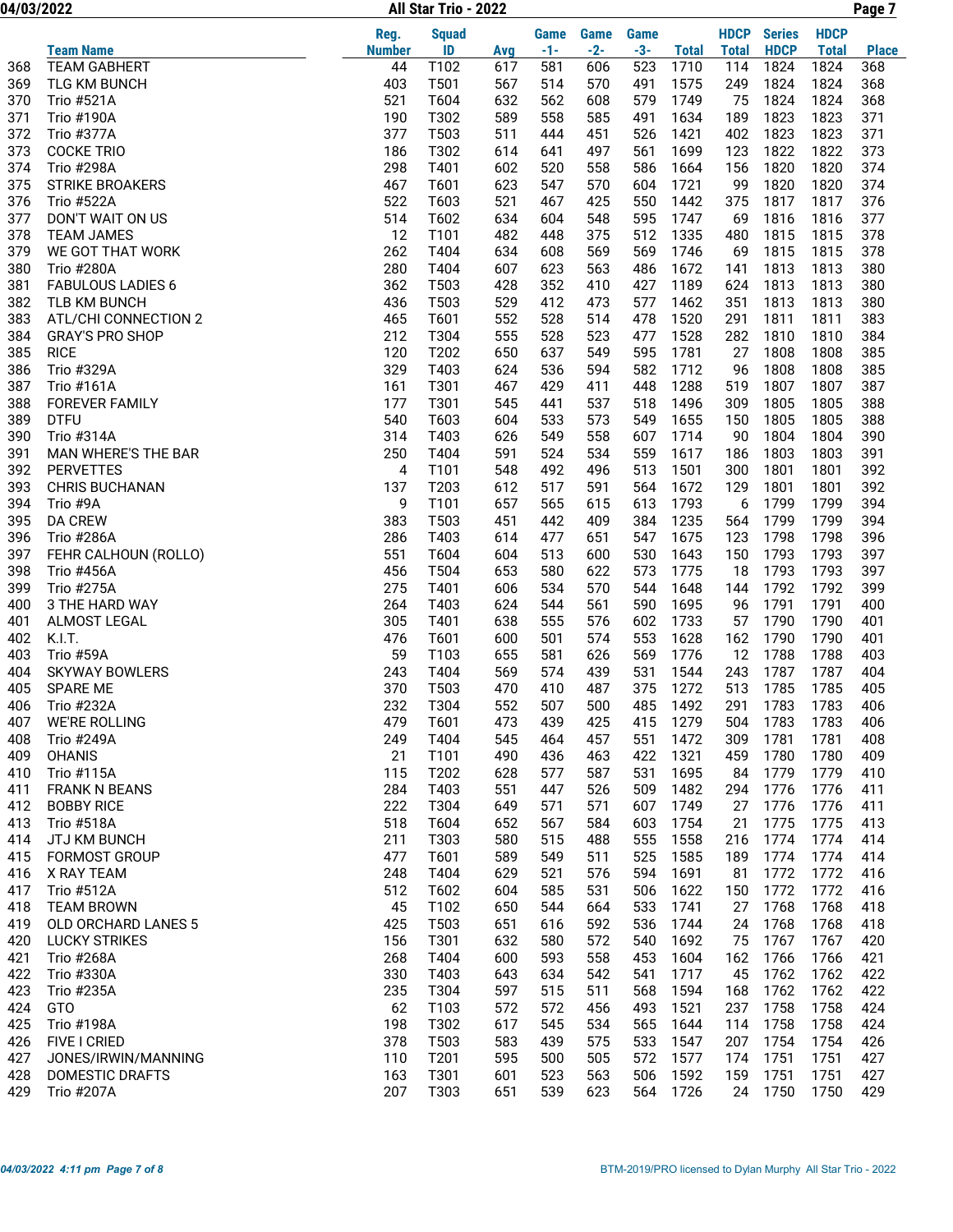04/03/2022 Page 7 All Star Trio - 2022

|     |                            | Reg.          | <b>Squad</b> |     | Game  | Game  | <b>Game</b> |              | <b>HDCP</b>  | <b>Series</b> | <b>HDCP</b>  |              |
|-----|----------------------------|---------------|--------------|-----|-------|-------|-------------|--------------|--------------|---------------|--------------|--------------|
|     | <b>Team Name</b>           | <b>Number</b> | ID           | Avg | $-1-$ | $-2-$ | $-3-$       | <b>Total</b> | <b>Total</b> | <b>HDCP</b>   | <b>Total</b> | <b>Place</b> |
| 368 | <b>TEAM GABHERT</b>        | 44            | T102         | 617 | 581   | 606   | 523         | 1710         | 114          | 1824          | 1824         | 368          |
| 369 | <b>TLG KM BUNCH</b>        | 403           | T501         | 567 | 514   | 570   | 491         | 1575         | 249          | 1824          | 1824         | 368          |
| 370 | Trio #521A                 | 521           | T604         | 632 | 562   | 608   | 579         | 1749         | 75           | 1824          | 1824         | 368          |
| 371 | <b>Trio #190A</b>          | 190           | T302         | 589 | 558   | 585   | 491         | 1634         | 189          | 1823          | 1823         | 371          |
| 372 | Trio #377A                 | 377           | T503         | 511 | 444   | 451   | 526         | 1421         | 402          | 1823          | 1823         | 371          |
| 373 | <b>COCKE TRIO</b>          | 186           | T302         | 614 | 641   | 497   | 561         | 1699         | 123          | 1822          | 1822         | 373          |
| 374 | Trio #298A                 | 298           | T401         | 602 | 520   | 558   | 586         | 1664         | 156          | 1820          | 1820         | 374          |
| 375 | <b>STRIKE BROAKERS</b>     | 467           | T601         | 623 | 547   | 570   | 604         | 1721         | 99           | 1820          | 1820         | 374          |
| 376 | Trio #522A                 | 522           | T603         | 521 | 467   | 425   | 550         | 1442         | 375          | 1817          | 1817         | 376          |
| 377 | DON'T WAIT ON US           | 514           | T602         | 634 | 604   | 548   | 595         | 1747         | 69           | 1816          | 1816         | 377          |
| 378 | <b>TEAM JAMES</b>          | 12            | T101         | 482 | 448   | 375   | 512         | 1335         | 480          | 1815          | 1815         | 378          |
| 379 | WE GOT THAT WORK           | 262           | T404         | 634 | 608   | 569   | 569         | 1746         | 69           | 1815          | 1815         | 378          |
| 380 | <b>Trio #280A</b>          | 280           | T404         | 607 | 623   | 563   | 486         | 1672         | 141          | 1813          | 1813         | 380          |
| 381 | <b>FABULOUS LADIES 6</b>   | 362           | T503         | 428 | 352   | 410   | 427         | 1189         | 624          | 1813          | 1813         | 380          |
| 382 | TLB KM BUNCH               | 436           | T503         | 529 | 412   | 473   | 577         | 1462         | 351          | 1813          | 1813         | 380          |
| 383 | ATL/CHI CONNECTION 2       | 465           | T601         | 552 | 528   | 514   | 478         | 1520         | 291          | 1811          | 1811         | 383          |
| 384 | <b>GRAY'S PRO SHOP</b>     | 212           | T304         | 555 | 528   | 523   | 477         | 1528         | 282          | 1810          | 1810         | 384          |
| 385 | <b>RICE</b>                | 120           | T202         | 650 | 637   | 549   | 595         | 1781         | 27           | 1808          | 1808         | 385          |
| 386 | Trio #329A                 | 329           | T403         | 624 | 536   | 594   | 582         | 1712         | 96           | 1808          | 1808         | 385          |
| 387 | Trio #161A                 | 161           | T301         | 467 | 429   | 411   | 448         | 1288         | 519          | 1807          | 1807         | 387          |
| 388 | <b>FOREVER FAMILY</b>      | 177           | T301         | 545 | 441   | 537   | 518         | 1496         | 309          | 1805          | 1805         | 388          |
| 389 | <b>DTFU</b>                | 540           | T603         | 604 | 533   | 573   | 549         | 1655         | 150          | 1805          | 1805         | 388          |
| 390 | Trio #314A                 | 314           | T403         | 626 | 549   | 558   | 607         | 1714         | 90           | 1804          | 1804         | 390          |
| 391 | <b>MAN WHERE'S THE BAR</b> | 250           | T404         | 591 | 524   | 534   | 559         | 1617         | 186          | 1803          | 1803         | 391          |
| 392 | <b>PERVETTES</b>           | 4             | T101         | 548 | 492   | 496   | 513         | 1501         | 300          | 1801          | 1801         | 392          |
| 393 | CHRIS BUCHANAN             | 137           | T203         | 612 | 517   | 591   | 564         | 1672         | 129          | 1801          | 1801         | 392          |
| 394 | Trio #9A                   | 9             | T101         | 657 | 565   | 615   | 613         | 1793         | 6            | 1799          | 1799         | 394          |
| 395 | <b>DA CREW</b>             | 383           | T503         | 451 | 442   | 409   | 384         | 1235         | 564          | 1799          | 1799         | 394          |
| 396 | <b>Trio #286A</b>          | 286           | T403         | 614 | 477   | 651   | 547         | 1675         | 123          | 1798          | 1798         | 396          |
| 397 | FEHR CALHOUN (ROLLO)       | 551           | T604         | 604 | 513   | 600   | 530         | 1643         | 150          | 1793          | 1793         | 397          |
| 398 | <b>Trio #456A</b>          | 456           | T504         | 653 | 580   | 622   | 573         | 1775         | 18           | 1793          | 1793         | 397          |
| 399 | Trio #275A                 | 275           | T401         | 606 | 534   | 570   | 544         | 1648         | 144          | 1792          | 1792         | 399          |
| 400 | 3 THE HARD WAY             | 264           | T403         | 624 | 544   | 561   | 590         | 1695         | 96           | 1791          | 1791         | 400          |
| 401 | ALMOST LEGAL               | 305           | T401         | 638 | 555   | 576   | 602         | 1733         | 57           | 1790          | 1790         | 401          |
| 402 | K.I.T.                     | 476           | T601         | 600 | 501   | 574   | 553         | 1628         | 162          | 1790          | 1790         | 401          |
| 403 | <b>Trio #59A</b>           | 59            | T103         | 655 | 581   | 626   | 569         | 1776         | 12           | 1788          | 1788         | 403          |
| 404 | <b>SKYWAY BOWLERS</b>      | 243           | T404         | 569 | 574   | 439   | 531         | 1544         | 243          | 1787          | 1787         | 404          |
| 405 | <b>SPARE ME</b>            | 370           | T503         | 470 | 410   | 487   | 375         | 1272         | 513          | 1785          | 1785         | 405          |
| 406 | Trio #232A                 | 232           | T304         | 552 | 507   | 500   | 485         | 1492         | 291          | 1783          | 1783         | 406          |
| 407 | <b>WE'RE ROLLING</b>       | 479           | T601         | 473 | 439   | 425   |             | 415 1279     |              | 504 1783      | 1783         | 406          |
| 408 | Trio #249A                 | 249           | T404         | 545 | 464   | 457   | 551         | 1472         | 309          | 1781          | 1781         | 408          |
| 409 | <b>OHANIS</b>              | 21            | T101         | 490 | 436   | 463   | 422         | 1321         | 459          | 1780          | 1780         | 409          |
| 410 | Trio #115A                 | 115           | T202         | 628 | 577   | 587   | 531         | 1695         | 84           | 1779          | 1779         | 410          |
| 411 | <b>FRANK N BEANS</b>       | 284           | T403         | 551 | 447   | 526   | 509         | 1482         | 294          | 1776          | 1776         | 411          |
| 412 | <b>BOBBY RICE</b>          | 222           | T304         | 649 | 571   | 571   | 607         | 1749         | 27           | 1776          | 1776         | 411          |
| 413 | Trio #518A                 | 518           | T604         | 652 | 567   | 584   | 603         | 1754         | 21           | 1775          | 1775         | 413          |
| 414 | JTJ KM BUNCH               | 211           | T303         | 580 | 515   | 488   | 555         | 1558         | 216          | 1774          | 1774         | 414          |
| 415 | FORMOST GROUP              | 477           | T601         | 589 | 549   | 511   | 525         | 1585         | 189          | 1774          | 1774         | 414          |
| 416 | X RAY TEAM                 | 248           | T404         | 629 | 521   | 576   | 594         | 1691         | 81           | 1772          | 1772         | 416          |
| 417 | <b>Trio #512A</b>          | 512           | T602         | 604 | 585   | 531   | 506         | 1622         | 150          | 1772          | 1772         | 416          |
| 418 | <b>TEAM BROWN</b>          | 45            | T102         | 650 | 544   | 664   | 533         | 1741         | 27           | 1768          | 1768         | 418          |
| 419 | <b>OLD ORCHARD LANES 5</b> | 425           | T503         | 651 | 616   | 592   | 536         | 1744         | 24           | 1768          | 1768         | 418          |
| 420 | <b>LUCKY STRIKES</b>       | 156           | T301         | 632 | 580   | 572   | 540         | 1692         | 75           | 1767          | 1767         | 420          |
| 421 | <b>Trio #268A</b>          | 268           | T404         | 600 | 593   | 558   | 453         | 1604         | 162          | 1766          | 1766         | 421          |
| 422 | Trio #330A                 | 330           | T403         | 643 | 634   | 542   | 541         | 1717         | 45           | 1762          | 1762         | 422          |
| 423 | Trio #235A                 | 235           | T304         | 597 | 515   | 511   | 568         | 1594         | 168          | 1762          | 1762         | 422          |
| 424 | GTO                        | 62            | T103         | 572 | 572   | 456   | 493         | 1521         | 237          | 1758          | 1758         | 424          |
| 425 | Trio #198A                 | 198           | T302         | 617 | 545   | 534   | 565         | 1644         | 114          | 1758          | 1758         | 424          |
| 426 | FIVE I CRIED               | 378           | T503         | 583 | 439   | 575   | 533         | 1547         | 207          | 1754          | 1754         | 426          |
| 427 | JONES/IRWIN/MANNING        | 110           | T201         | 595 | 500   | 505   | 572         | 1577         | 174          | 1751          | 1751         | 427          |
| 428 | DOMESTIC DRAFTS            | 163           | T301         | 601 | 523   | 563   | 506         | 1592         | 159          | 1751          | 1751         | 427          |
| 429 | Trio #207A                 | 207           | T303         | 651 | 539   | 623   | 564         | 1726         | 24           | 1750          | 1750         | 429          |